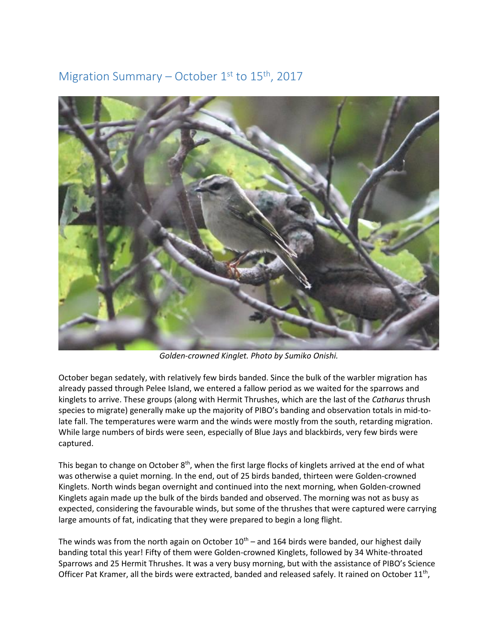## Migration Summary – October  $1<sup>st</sup>$  to  $15<sup>th</sup>$ , 2017



*Golden-crowned Kinglet. Photo by Sumiko Onishi.* 

October began sedately, with relatively few birds banded. Since the bulk of the warbler migration has already passed through Pelee Island, we entered a fallow period as we waited for the sparrows and kinglets to arrive. These groups (along with Hermit Thrushes, which are the last of the *Catharus* thrush species to migrate) generally make up the majority of PIBO's banding and observation totals in mid-tolate fall. The temperatures were warm and the winds were mostly from the south, retarding migration. While large numbers of birds were seen, especially of Blue Jays and blackbirds, very few birds were captured.

This began to change on October 8<sup>th</sup>, when the first large flocks of kinglets arrived at the end of what was otherwise a quiet morning. In the end, out of 25 birds banded, thirteen were Golden-crowned Kinglets. North winds began overnight and continued into the next morning, when Golden-crowned Kinglets again made up the bulk of the birds banded and observed. The morning was not as busy as expected, considering the favourable winds, but some of the thrushes that were captured were carrying large amounts of fat, indicating that they were prepared to begin a long flight.

The winds was from the north again on October  $10<sup>th</sup>$  – and 164 birds were banded, our highest daily banding total this year! Fifty of them were Golden-crowned Kinglets, followed by 34 White-throated Sparrows and 25 Hermit Thrushes. It was a very busy morning, but with the assistance of PIBO's Science Officer Pat Kramer, all the birds were extracted, banded and released safely. It rained on October  $11^{th}$ ,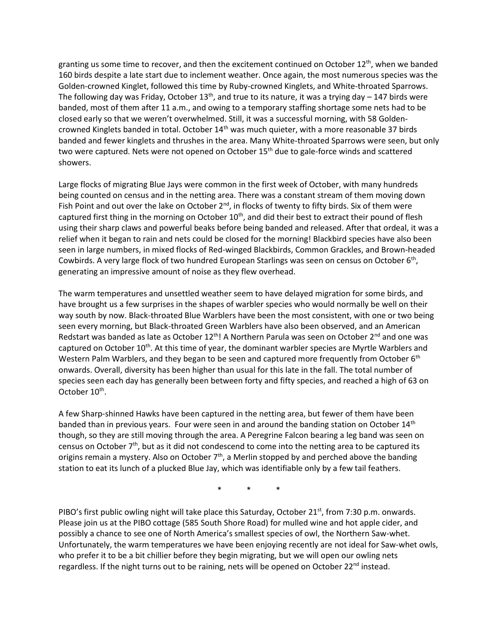granting us some time to recover, and then the excitement continued on October  $12<sup>th</sup>$ , when we banded 160 birds despite a late start due to inclement weather. Once again, the most numerous species was the Golden-crowned Kinglet, followed this time by Ruby-crowned Kinglets, and White-throated Sparrows. The following day was Friday, October  $13<sup>th</sup>$ , and true to its nature, it was a trying day – 147 birds were banded, most of them after 11 a.m., and owing to a temporary staffing shortage some nets had to be closed early so that we weren't overwhelmed. Still, it was a successful morning, with 58 Goldencrowned Kinglets banded in total. October 14<sup>th</sup> was much quieter, with a more reasonable 37 birds banded and fewer kinglets and thrushes in the area. Many White-throated Sparrows were seen, but only two were captured. Nets were not opened on October 15<sup>th</sup> due to gale-force winds and scattered showers.

Large flocks of migrating Blue Jays were common in the first week of October, with many hundreds being counted on census and in the netting area. There was a constant stream of them moving down Fish Point and out over the lake on October  $2^{nd}$ , in flocks of twenty to fifty birds. Six of them were captured first thing in the morning on October 10<sup>th</sup>, and did their best to extract their pound of flesh using their sharp claws and powerful beaks before being banded and released. After that ordeal, it was a relief when it began to rain and nets could be closed for the morning! Blackbird species have also been seen in large numbers, in mixed flocks of Red-winged Blackbirds, Common Grackles, and Brown-headed Cowbirds. A very large flock of two hundred European Starlings was seen on census on October 6<sup>th</sup>, generating an impressive amount of noise as they flew overhead.

The warm temperatures and unsettled weather seem to have delayed migration for some birds, and have brought us a few surprises in the shapes of warbler species who would normally be well on their way south by now. Black-throated Blue Warblers have been the most consistent, with one or two being seen every morning, but Black-throated Green Warblers have also been observed, and an American Redstart was banded as late as October  $12<sup>th</sup>$ ! A Northern Parula was seen on October  $2<sup>nd</sup>$  and one was captured on October 10<sup>th</sup>. At this time of year, the dominant warbler species are Myrtle Warblers and Western Palm Warblers, and they began to be seen and captured more frequently from October 6<sup>th</sup> onwards. Overall, diversity has been higher than usual for this late in the fall. The total number of species seen each day has generally been between forty and fifty species, and reached a high of 63 on October 10<sup>th</sup>.

A few Sharp-shinned Hawks have been captured in the netting area, but fewer of them have been banded than in previous years. Four were seen in and around the banding station on October 14<sup>th</sup> though, so they are still moving through the area. A Peregrine Falcon bearing a leg band was seen on census on October 7<sup>th</sup>, but as it did not condescend to come into the netting area to be captured its origins remain a mystery. Also on October 7<sup>th</sup>, a Merlin stopped by and perched above the banding station to eat its lunch of a plucked Blue Jay, which was identifiable only by a few tail feathers.

\* \* \*

PIBO's first public owling night will take place this Saturday, October 21<sup>st</sup>, from 7:30 p.m. onwards. Please join us at the PIBO cottage (585 South Shore Road) for mulled wine and hot apple cider, and possibly a chance to see one of North America's smallest species of owl, the Northern Saw-whet. Unfortunately, the warm temperatures we have been enjoying recently are not ideal for Saw-whet owls, who prefer it to be a bit chillier before they begin migrating, but we will open our owling nets regardless. If the night turns out to be raining, nets will be opened on October 22<sup>nd</sup> instead.